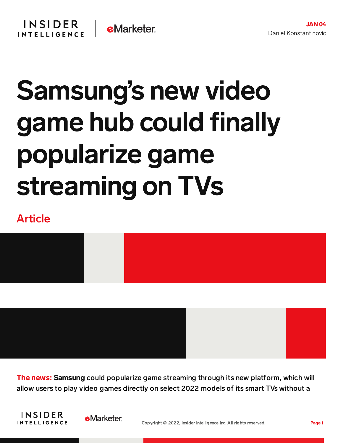## Samsung's new video game hub could finally popularize game streaming on TVs

## Article



The news: Samsung could popularize game streaming through its new platform, which will allow users to play video games directly on select 2022 models of its smart TVs without a



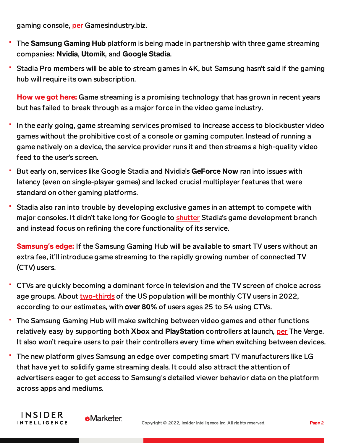gaming console, [per](https://www.gamesindustry.biz/articles/2022-01-04-samsung-unveils-smart-tv-gaming-hub) Gamesindustry.biz.

INSIDER

**INTELLIGENCE** 

- The Samsung Gaming Hub platform is being made in partnership with three game streaming companies: Nvidia, Utomik, and Google Stadia.
- Stadia Pro members will be able to stream games in 4K, but Samsung hasn't said if the gaming hub will require its own subscription.

How we got here: Game streaming is a promising technology that has grown in recent years but has failed to break through as a major force in the video game industry.

- In the early going, game streaming services promised to increase access to blockbuster video games without the prohibitive cost of a console or gaming computer. Instead of running a game natively on a device, the service provider runs it and then streams a high-quality video feed to the user's screen.
- But early on, services like Google Stadia and Nvidia's GeForce Now ran into issues with latency (even on single-player games) and lacked crucial multiplayer features that were standard on other gaming platforms.
- Stadia also ran into trouble by developing exclusive games in an attempt to compete with major consoles. It didn't take long for Google to [shutter](https://content-na2.emarketer.com/google-stadia-shutters-its-game-development-studio-struggles-cloud-gaming-service-off-ground) Stadia's game development branch and instead focus on refining the core functionality of its service.

Samsung**'**s edge: If the Samsung Gaming Hub will be available to smart TV users without an extra fee, it'll introduce game streaming to the rapidly growing number of connected TV (CTV) users.

- CTVs are quickly becoming a dominant force in television and the TV screen of choice across age groups. About [two-thirds](https://forecasts-na2.emarketer.com/584b26021403070290f93a3a/5f62448285702e0758c312dd) of the US population will be monthly CTV users in 2022, according to our estimates, with over 80% of users ages 25 to 54 using CTVs.
- The Samsung Gaming Hub will make switching between video games and other functions relatively easy by supporting both Xbox and PlayStation controllers at launch, [per](https://www.theverge.com/22862814/samsung-2022-tv-geforce-now-stadia-nvidia-google-utomik-cloud-gaming) The Verge. It also won't require users to pair their controllers every time when switching between devices.
- The new platform gives Samsung an edge over competing smart TV manufacturers like LG that have yet to solidify game streaming deals. It could also attract the attention of advertisers eager to get access to Samsung's detailed viewer behavior data on the platform across apps and mediums.